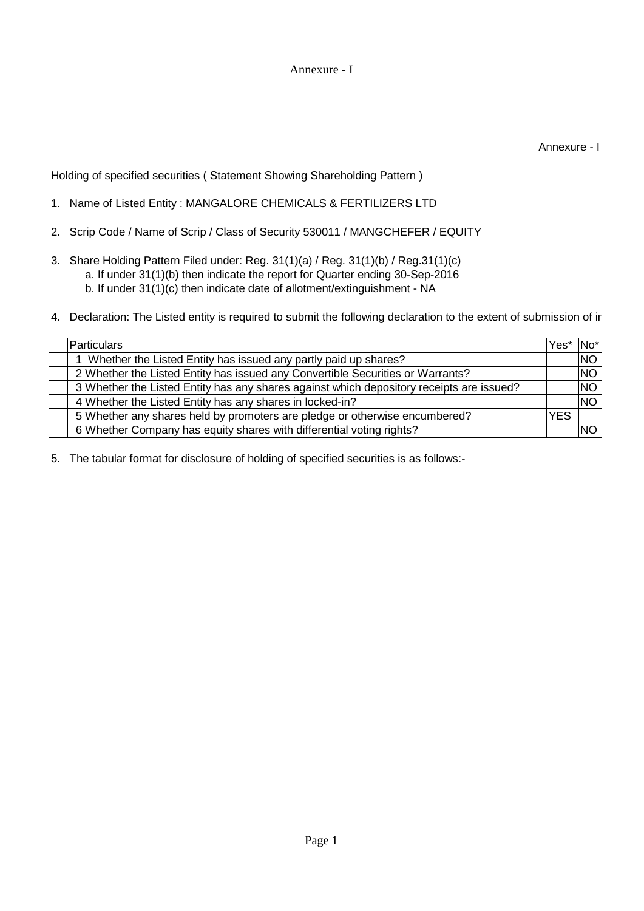Annexure - I

Holding of specified securities ( Statement Showing Shareholding Pattern )

- 1. Name of Listed Entity : MANGALORE CHEMICALS & FERTILIZERS LTD
- 2. Scrip Code / Name of Scrip / Class of Security 530011 / MANGCHEFER / EQUITY
- 3. Share Holding Pattern Filed under: Reg. 31(1)(a) / Reg. 31(1)(b) / Reg.31(1)(c) a. If under 31(1)(b) then indicate the report for Quarter ending 30-Sep-2016 b. If under 31(1)(c) then indicate date of allotment/extinguishment - NA
- 4. Declaration: The Listed entity is required to submit the following declaration to the extent of submission of ir

| <b>Particulars</b>                                                                       | IYes*      | No <sup>*</sup> |
|------------------------------------------------------------------------------------------|------------|-----------------|
| Whether the Listed Entity has issued any partly paid up shares?                          |            | <b>NO</b>       |
| 2 Whether the Listed Entity has issued any Convertible Securities or Warrants?           |            | <b>NO</b>       |
| 3 Whether the Listed Entity has any shares against which depository receipts are issued? |            | <b>NO</b>       |
| 4 Whether the Listed Entity has any shares in locked-in?                                 |            | <b>NO</b>       |
| 5 Whether any shares held by promoters are pledge or otherwise encumbered?               | <b>YES</b> |                 |
| 6 Whether Company has equity shares with differential voting rights?                     |            |                 |

5. The tabular format for disclosure of holding of specified securities is as follows:-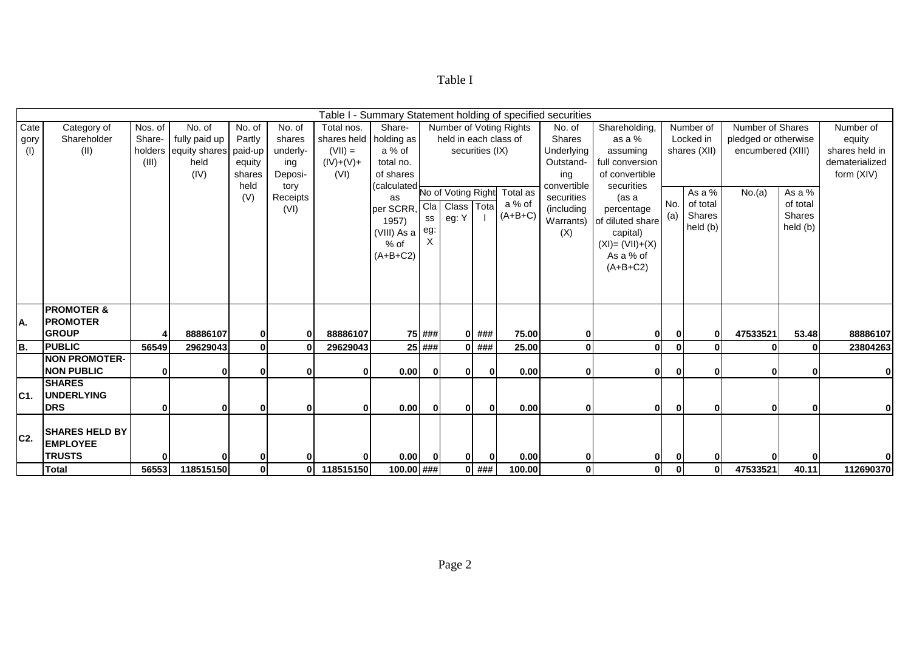## Table I

|                |                       |         |                       |              |              |              |                                        |                     |                       |                 |                         | Table I - Summary Statement holding of specified securities |                    |              |           |                      |          |                |
|----------------|-----------------------|---------|-----------------------|--------------|--------------|--------------|----------------------------------------|---------------------|-----------------------|-----------------|-------------------------|-------------------------------------------------------------|--------------------|--------------|-----------|----------------------|----------|----------------|
| Cate           | Category of           | Nos. of | No. of                | No. of       | No. of       | Total nos.   | Share-                                 |                     |                       |                 | Number of Voting Rights | No. of                                                      | Shareholding,      |              | Number of | Number of Shares     |          | Number of      |
| gory           | Shareholder           | Share-  | fully paid up         | Partly       | shares       | shares held  | holding as                             |                     | held in each class of |                 |                         | Shares                                                      | as a %             |              | Locked in | pledged or otherwise |          | equity         |
| (1)            | (II)                  |         | holders equity shares | paid-up      | underly-     | $(VII) =$    | a % of                                 |                     |                       | securities (IX) |                         | Underlying                                                  | assuming           | shares (XII) |           | encumbered (XIII)    |          | shares held in |
|                |                       | (III)   | held                  | equity       | ing          | $(IV)+(V)+$  | total no.                              |                     |                       |                 |                         | Outstand-                                                   | full conversion    |              |           |                      |          | dematerialized |
|                |                       |         | (IV)                  | shares       | Deposi-      | (VI)         | of shares                              |                     |                       |                 |                         | ing                                                         | of convertible     |              |           |                      |          | form (XIV)     |
|                |                       |         |                       | held         | tory         |              | Calculated No of Voting Right Total as |                     |                       |                 |                         | convertible                                                 | securities         |              | As a %    | No.(a)               | As a %   |                |
|                |                       |         |                       | (V)          | Receipts     |              |                                        |                     | Class Tota            |                 | a % of                  | securities                                                  | (as a              | No.          | of total  |                      | of total |                |
|                |                       |         |                       |              | (VI)         |              | per SCRR,                              | Cla                 |                       |                 | $(A+B+C)$               | (including                                                  | percentage         | (a)          | Shares    |                      | Shares   |                |
|                |                       |         |                       |              |              |              | 1957)                                  | SS                  | eg: Y                 |                 |                         | Warrants)                                                   | of diluted share   |              | held (b)  |                      | held (b) |                |
|                |                       |         |                       |              |              |              | (VIII) As a                            | eg:<br>$\mathsf{x}$ |                       |                 |                         | (X)                                                         | capital)           |              |           |                      |          |                |
|                |                       |         |                       |              |              |              | $%$ of                                 |                     |                       |                 |                         |                                                             | $(XI) = (VII)+(X)$ |              |           |                      |          |                |
|                |                       |         |                       |              |              |              | $(A+B+C2)$                             |                     |                       |                 |                         |                                                             | As a % of          |              |           |                      |          |                |
|                |                       |         |                       |              |              |              |                                        |                     |                       |                 |                         |                                                             | $(A+B+C2)$         |              |           |                      |          |                |
|                |                       |         |                       |              |              |              |                                        |                     |                       |                 |                         |                                                             |                    |              |           |                      |          |                |
|                |                       |         |                       |              |              |              |                                        |                     |                       |                 |                         |                                                             |                    |              |           |                      |          |                |
|                | <b>PROMOTER &amp;</b> |         |                       |              |              |              |                                        |                     |                       |                 |                         |                                                             |                    |              |           |                      |          |                |
| IA.            | <b>PROMOTER</b>       |         |                       |              |              |              |                                        |                     |                       |                 |                         |                                                             |                    |              |           |                      |          |                |
|                | <b>GROUP</b>          |         | 88886107              | $\mathbf{0}$ | $\mathbf{0}$ | 88886107     |                                        | 75 ###              |                       | $0$ ###         | 75.00                   | $\mathbf{0}$                                                | 0                  | $\mathbf 0$  | 0         | 47533521             | 53.48    | 88886107       |
| B.             | <b>PUBLIC</b>         | 56549   | 29629043              | $\Omega$     |              | 29629043     |                                        | $25$ ###            | $\mathbf{0}$          | ###             | 25.00                   | $\mathbf{0}$                                                | 0                  | $\mathbf 0$  |           | <sup>0</sup>         | $\Omega$ | 23804263       |
|                | <b>NON PROMOTER-</b>  |         |                       |              |              |              |                                        |                     |                       |                 |                         |                                                             |                    |              |           |                      |          |                |
|                | <b>NON PUBLIC</b>     |         |                       | $\mathbf{0}$ | 0            | $\mathbf{0}$ | 0.00                                   |                     | $\bf{0}$              | $\bf{0}$        | 0.00                    | $\mathbf{0}$                                                | $\mathbf{0}$       | 0            |           | $\mathbf{0}$         | 0        | 0              |
|                | <b>SHARES</b>         |         |                       |              |              |              |                                        |                     |                       |                 |                         |                                                             |                    |              |           |                      |          |                |
| C1.            | <b>UNDERLYING</b>     |         |                       |              |              |              |                                        |                     |                       |                 |                         |                                                             |                    |              |           |                      |          |                |
|                | <b>DRS</b>            |         |                       | 0            | 0            | $\mathbf{0}$ | 0.00                                   |                     | $\mathbf{0}$          | $\mathbf{0}$    | 0.00                    | 0                                                           | ΟI                 | $\bf{0}$     |           | $\Omega$             | 0        | 0              |
|                |                       |         |                       |              |              |              |                                        |                     |                       |                 |                         |                                                             |                    |              |           |                      |          |                |
| C <sub>2</sub> | <b>SHARES HELD BY</b> |         |                       |              |              |              |                                        |                     |                       |                 |                         |                                                             |                    |              |           |                      |          |                |
|                | <b>EMPLOYEE</b>       |         |                       |              |              |              |                                        |                     |                       |                 |                         |                                                             |                    |              |           |                      |          |                |
|                | <b>TRUSTS</b>         |         |                       | 0            | 0            | $\Omega$     | 0.00                                   |                     | $\bf{0}$              | $\mathbf{0}$    | 0.00                    | $\mathbf{0}$                                                | $\mathbf{0}$       | 0            |           | $\Omega$             | 0        |                |
|                | <b>Total</b>          | 56553   | 118515150             | $\mathbf{0}$ | $\mathbf{0}$ | 118515150    | 100.00 ###                             |                     | $\mathbf{0}$          | ###             | 100.00                  | $\mathbf{0}$                                                | $\mathbf{0}$       | $\bf{0}$     |           | 47533521             | 40.11    | 112690370      |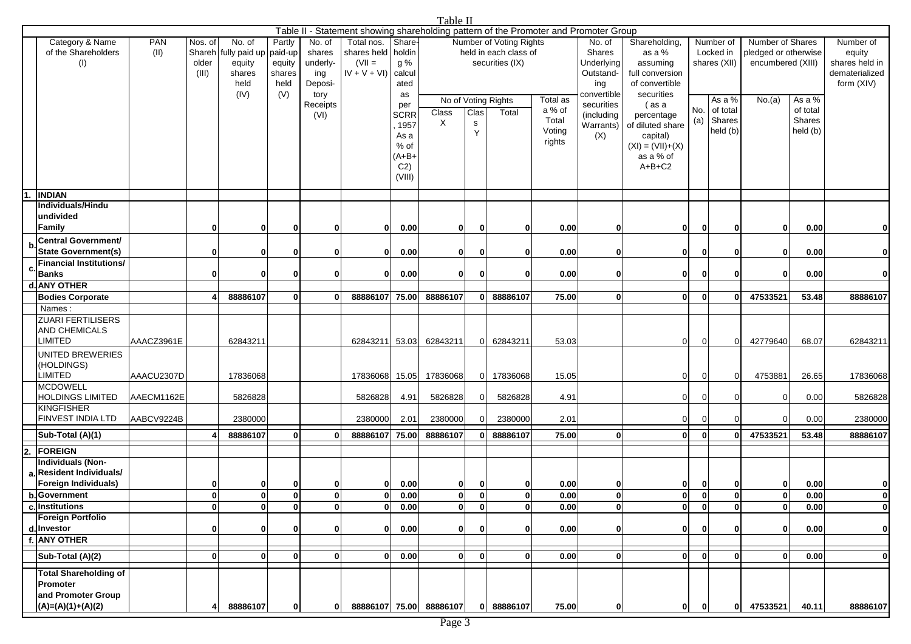| Table II - Statement showing shareholding pattern of the Promoter and Promoter Group<br>Category & Name<br><b>PAN</b><br>Nos. of<br>No. of<br>Partly<br>Total nos.<br>Share-<br>Number of Voting Rights<br>Shareholding,<br>Number of<br>Number of Shares<br>Number of<br>No. of<br>No. of<br>(11)<br>Shareh<br>held in each class of<br>Shares<br>of the Shareholders<br>ully paid up<br>paid-up<br>shares<br>shares held holdin<br>as a %<br>Locked in<br>pledged or otherwise<br>equity<br>(VII)<br>securities (IX)<br><b>Underlying</b><br>underly-<br>g %<br>assuming<br>shares (XII)<br>encumbered (XIII)<br>shares held in<br>(1)<br>older<br>equity<br>equity<br>$IV + V + VI$<br>(III)<br>shares<br>calcul<br>Outstand-<br>full conversion<br>dematerialized<br>shares<br>ing<br>form (XIV)<br>held<br>held<br>Deposi-<br>of convertible<br>ated<br>ing<br>(IV)<br>(V)<br>convertible<br>securities<br>tory<br>as<br>$Asa\%$<br>No of Voting Rights<br>Total as<br>As a %<br>No.(a)<br>Receipts<br>securities<br>(as a<br>per<br>No.<br>of total<br>a % of<br>of total<br>Clas<br>Class<br>Total<br>(VI)<br><b>SCRR</b><br>(including<br>percentage<br>Shares<br>Shares<br>Total<br>(a)<br>$\times$<br>s<br>Warrants)<br>of diluted share<br>1957<br>held (b)<br>held (b)<br>Voting<br>Y<br>(X)<br>As a<br>capital)<br>rights<br>$%$ of<br>$(XI) = (VII)+(X)$<br>$(A+B+$<br>as a % of<br>$A+B+C2$<br>C <sub>2</sub><br>(VIII)<br><b>INDIAN</b><br>Individuals/Hindu<br>undivided<br><b>Family</b><br>0.00<br>$\mathbf{0}$<br>$\mathbf{0}$<br>οI<br>0.00<br>$\mathbf{0}$<br>$\mathbf{0}$<br>0.00<br>$\mathbf{0}$<br>0<br>$\mathbf{0}$<br>01<br>0<br>0<br>0 I<br>Οl<br>0<br>Central Government/<br><b>State Government(s)</b><br>0<br>0.00<br>0.00<br>$\mathbf{0}$<br>0.00<br>$\mathbf 0$<br>$\mathbf{0}$<br>0<br>$\Omega$<br>0<br>01<br>0<br>$\mathbf{0}$<br>O<br>0<br>$\mathbf 0$<br>0<br><b>Financial Institutions/</b><br>$\mathbf 0$<br><b>Banks</b><br>0.00<br>0<br>$\mathbf{0}$<br>0.00<br>$\mathbf{0}$<br>0.00<br>$\mathbf{0}$<br>O<br>0<br>$\Omega$<br>01<br>0<br>Οl<br>$\Omega$<br>n<br>ŋ<br><b>ANY OTHER</b><br>d<br>88886107 75.00<br>47533521<br><b>Bodies Corporate</b><br>88886107<br>88886107<br>88886107<br>75.00<br>0l<br>οI<br>53.48<br>88886107<br>$\mathbf{0}$<br>0<br>$\mathbf{0}$<br>0l<br>$\mathbf 0$<br>Δ<br>Names:<br><b>ZUARI FERTILISERS</b><br>AND CHEMICALS<br><b>LIMITED</b><br>AAACZ3961E<br>62843211<br>62843211<br>62843211<br>53.03<br>42779640<br>68.07<br>62843211 53.03<br>$\overline{0}$<br>$\overline{0}$<br>$\mathbf 0$<br>62843211<br>$\Omega$<br>UNITED BREWERIES<br>(HOLDINGS)<br>LIMITED<br>4753881<br>AAACU2307D<br>17836068<br>17836068<br>17836068<br>15.05<br>$\overline{0}$<br>$\mathbf 0$<br>26.65<br>17836068<br>17836068 15.05<br>$\Omega$<br>$\overline{0}$<br><b>MCDOWELL</b><br><b>HOLDINGS LIMITED</b><br>AAECM1162E<br>5826828<br>5826828<br>5826828<br>4.91<br>$\mathbf 0$<br>5826828<br>4.91<br>5826828<br>$\overline{0}$<br>0.00<br>$\Omega$<br>$\Omega$<br><b>KINGFISHER</b><br><b>FINVEST INDIA LTD</b><br>AABCV9224B<br>2380000<br>2380000<br>2380000<br>2.01<br>0.00<br>2380000<br>2.01<br>2380000<br>$\overline{0}$<br>0<br>75.00<br>47533521<br>88886107<br>88886107<br>88886107<br>88886107<br>75.00<br>$\mathbf{0}$<br>ΩI<br>53.48<br>88886107<br>Sub-Total (A)(1)<br>$\bf{0}$<br>$\mathbf{0}$<br>$\mathbf{0}$<br>0<br>$\Omega$<br>$\overline{2}$ .<br><b>FOREIGN</b><br><b>Individuals (Non-</b><br>a.Resident Individuals/<br>Foreign Individuals)<br>0.00<br>0.00<br>0.00<br>$\mathbf{0}$<br>0<br>0<br>0 I<br>$\mathbf 0$<br>0<br>0<br>0<br>01<br>0<br>0<br>0<br>0<br>0<br>$\mathbf{0}$<br>$\mathbf{o}$<br>$\mathbf{0}$<br>$\mathbf{0}$<br>$\mathbf{0}$<br>οl<br>$\mathbf 0$<br>b. Government<br>$\mathbf{0}$<br>$\bf{0}$<br>0.00<br>0<br>0.00<br>0<br>0.00<br>$\mathbf{0}$<br>$\mathbf{0}$<br>$\Omega$<br> 0 <br>0<br>0<br>0.00<br>$\mathbf{0}$<br> 0 <br>0.00<br> 0 <br>0.00<br>$\mathbf 0$<br>c. Institutions<br>ΟI<br>0<br>$\mathbf{0}$<br>οI<br>01<br> 0 <br>01<br><b>Foreign Portfolio</b><br>0.00<br>0.00<br>$\mathbf{0}$<br>0.00<br>$\mathbf 0$<br>d. Investor<br>$\mathbf{0}$<br>0<br>οI<br>0<br>$\mathbf{0}$<br>0<br>0<br>0<br>0<br>01<br>U<br>01<br>$\overline{f}$ .<br><b>ANY OTHER</b><br>0.00<br>$\mathbf{0}$<br>οI<br>0<br>0.00<br> 0 <br>$\mathbf{0}$<br>0.00<br>$\mathbf 0$<br>Sub-Total (A)(2)<br>0l<br>$\mathbf{0}$<br>ΟI<br>0l<br>0l<br>ΟI<br>0l<br>ΟI<br><b>Total Shareholding of</b><br>Promoter<br>and Promoter Group<br>88886107<br>88886107 75.00 88886107<br>88886107<br>$\mathbf{0}$<br>47533521<br>$(A)=(A)(1)+(A)(2)$<br>0l<br>$\mathbf{0}$<br>ΟI<br>75.00<br>0<br> 0 <br>40.11<br>88886107<br>01<br>4 | Table II |  |  |  |  |  |  |  |  |  |  |  |  |  |  |  |  |  |  |
|--------------------------------------------------------------------------------------------------------------------------------------------------------------------------------------------------------------------------------------------------------------------------------------------------------------------------------------------------------------------------------------------------------------------------------------------------------------------------------------------------------------------------------------------------------------------------------------------------------------------------------------------------------------------------------------------------------------------------------------------------------------------------------------------------------------------------------------------------------------------------------------------------------------------------------------------------------------------------------------------------------------------------------------------------------------------------------------------------------------------------------------------------------------------------------------------------------------------------------------------------------------------------------------------------------------------------------------------------------------------------------------------------------------------------------------------------------------------------------------------------------------------------------------------------------------------------------------------------------------------------------------------------------------------------------------------------------------------------------------------------------------------------------------------------------------------------------------------------------------------------------------------------------------------------------------------------------------------------------------------------------------------------------------------------------------------------------------------------------------------------------------------------------------------------------------------------------------------------------------------------------------------------------------------------------------------------------------------------------------------------------------------------------------------------------------------------------------------------------------------------------------------------------------------------------------------------------------------------------------------------------------------------------------------------------------------------------------------------------------------------------------------------------------------------------------------------------------------------------------------------------------------------------------------------------------------------------------------------------------------------------------------------------------------------------------------------------------------------------------------------------------------------------------------------------------------------------------------------------------------------------------------------------------------------------------------------------------------------------------------------------------------------------------------------------------------------------------------------------------------------------------------------------------------------------------------------------------------------------------------------------------------------------------------------------------------------------------------------------------------------------------------------------------------------------------------------------------------------------------------------------------------------------------------------------------------------------------------------------------------------------------------------------------------------------------------------------------------------------------------------------------------------------------------------------------------------------------------------------------------------------------------------------------------------------------------------------------------------------------------------------------------------------------------------------------------------------------------------------------------------------------------------------------------------------------------------------------------------------------------------------------------------------------------------------------------------------------------|----------|--|--|--|--|--|--|--|--|--|--|--|--|--|--|--|--|--|--|
|                                                                                                                                                                                                                                                                                                                                                                                                                                                                                                                                                                                                                                                                                                                                                                                                                                                                                                                                                                                                                                                                                                                                                                                                                                                                                                                                                                                                                                                                                                                                                                                                                                                                                                                                                                                                                                                                                                                                                                                                                                                                                                                                                                                                                                                                                                                                                                                                                                                                                                                                                                                                                                                                                                                                                                                                                                                                                                                                                                                                                                                                                                                                                                                                                                                                                                                                                                                                                                                                                                                                                                                                                                                                                                                                                                                                                                                                                                                                                                                                                                                                                                                                                                                                                                                                                                                                                                                                                                                                                                                                                                                                                                                                                                                    |          |  |  |  |  |  |  |  |  |  |  |  |  |  |  |  |  |  |  |
|                                                                                                                                                                                                                                                                                                                                                                                                                                                                                                                                                                                                                                                                                                                                                                                                                                                                                                                                                                                                                                                                                                                                                                                                                                                                                                                                                                                                                                                                                                                                                                                                                                                                                                                                                                                                                                                                                                                                                                                                                                                                                                                                                                                                                                                                                                                                                                                                                                                                                                                                                                                                                                                                                                                                                                                                                                                                                                                                                                                                                                                                                                                                                                                                                                                                                                                                                                                                                                                                                                                                                                                                                                                                                                                                                                                                                                                                                                                                                                                                                                                                                                                                                                                                                                                                                                                                                                                                                                                                                                                                                                                                                                                                                                                    |          |  |  |  |  |  |  |  |  |  |  |  |  |  |  |  |  |  |  |
|                                                                                                                                                                                                                                                                                                                                                                                                                                                                                                                                                                                                                                                                                                                                                                                                                                                                                                                                                                                                                                                                                                                                                                                                                                                                                                                                                                                                                                                                                                                                                                                                                                                                                                                                                                                                                                                                                                                                                                                                                                                                                                                                                                                                                                                                                                                                                                                                                                                                                                                                                                                                                                                                                                                                                                                                                                                                                                                                                                                                                                                                                                                                                                                                                                                                                                                                                                                                                                                                                                                                                                                                                                                                                                                                                                                                                                                                                                                                                                                                                                                                                                                                                                                                                                                                                                                                                                                                                                                                                                                                                                                                                                                                                                                    |          |  |  |  |  |  |  |  |  |  |  |  |  |  |  |  |  |  |  |
|                                                                                                                                                                                                                                                                                                                                                                                                                                                                                                                                                                                                                                                                                                                                                                                                                                                                                                                                                                                                                                                                                                                                                                                                                                                                                                                                                                                                                                                                                                                                                                                                                                                                                                                                                                                                                                                                                                                                                                                                                                                                                                                                                                                                                                                                                                                                                                                                                                                                                                                                                                                                                                                                                                                                                                                                                                                                                                                                                                                                                                                                                                                                                                                                                                                                                                                                                                                                                                                                                                                                                                                                                                                                                                                                                                                                                                                                                                                                                                                                                                                                                                                                                                                                                                                                                                                                                                                                                                                                                                                                                                                                                                                                                                                    |          |  |  |  |  |  |  |  |  |  |  |  |  |  |  |  |  |  |  |
|                                                                                                                                                                                                                                                                                                                                                                                                                                                                                                                                                                                                                                                                                                                                                                                                                                                                                                                                                                                                                                                                                                                                                                                                                                                                                                                                                                                                                                                                                                                                                                                                                                                                                                                                                                                                                                                                                                                                                                                                                                                                                                                                                                                                                                                                                                                                                                                                                                                                                                                                                                                                                                                                                                                                                                                                                                                                                                                                                                                                                                                                                                                                                                                                                                                                                                                                                                                                                                                                                                                                                                                                                                                                                                                                                                                                                                                                                                                                                                                                                                                                                                                                                                                                                                                                                                                                                                                                                                                                                                                                                                                                                                                                                                                    |          |  |  |  |  |  |  |  |  |  |  |  |  |  |  |  |  |  |  |
|                                                                                                                                                                                                                                                                                                                                                                                                                                                                                                                                                                                                                                                                                                                                                                                                                                                                                                                                                                                                                                                                                                                                                                                                                                                                                                                                                                                                                                                                                                                                                                                                                                                                                                                                                                                                                                                                                                                                                                                                                                                                                                                                                                                                                                                                                                                                                                                                                                                                                                                                                                                                                                                                                                                                                                                                                                                                                                                                                                                                                                                                                                                                                                                                                                                                                                                                                                                                                                                                                                                                                                                                                                                                                                                                                                                                                                                                                                                                                                                                                                                                                                                                                                                                                                                                                                                                                                                                                                                                                                                                                                                                                                                                                                                    |          |  |  |  |  |  |  |  |  |  |  |  |  |  |  |  |  |  |  |
|                                                                                                                                                                                                                                                                                                                                                                                                                                                                                                                                                                                                                                                                                                                                                                                                                                                                                                                                                                                                                                                                                                                                                                                                                                                                                                                                                                                                                                                                                                                                                                                                                                                                                                                                                                                                                                                                                                                                                                                                                                                                                                                                                                                                                                                                                                                                                                                                                                                                                                                                                                                                                                                                                                                                                                                                                                                                                                                                                                                                                                                                                                                                                                                                                                                                                                                                                                                                                                                                                                                                                                                                                                                                                                                                                                                                                                                                                                                                                                                                                                                                                                                                                                                                                                                                                                                                                                                                                                                                                                                                                                                                                                                                                                                    |          |  |  |  |  |  |  |  |  |  |  |  |  |  |  |  |  |  |  |
|                                                                                                                                                                                                                                                                                                                                                                                                                                                                                                                                                                                                                                                                                                                                                                                                                                                                                                                                                                                                                                                                                                                                                                                                                                                                                                                                                                                                                                                                                                                                                                                                                                                                                                                                                                                                                                                                                                                                                                                                                                                                                                                                                                                                                                                                                                                                                                                                                                                                                                                                                                                                                                                                                                                                                                                                                                                                                                                                                                                                                                                                                                                                                                                                                                                                                                                                                                                                                                                                                                                                                                                                                                                                                                                                                                                                                                                                                                                                                                                                                                                                                                                                                                                                                                                                                                                                                                                                                                                                                                                                                                                                                                                                                                                    |          |  |  |  |  |  |  |  |  |  |  |  |  |  |  |  |  |  |  |
|                                                                                                                                                                                                                                                                                                                                                                                                                                                                                                                                                                                                                                                                                                                                                                                                                                                                                                                                                                                                                                                                                                                                                                                                                                                                                                                                                                                                                                                                                                                                                                                                                                                                                                                                                                                                                                                                                                                                                                                                                                                                                                                                                                                                                                                                                                                                                                                                                                                                                                                                                                                                                                                                                                                                                                                                                                                                                                                                                                                                                                                                                                                                                                                                                                                                                                                                                                                                                                                                                                                                                                                                                                                                                                                                                                                                                                                                                                                                                                                                                                                                                                                                                                                                                                                                                                                                                                                                                                                                                                                                                                                                                                                                                                                    |          |  |  |  |  |  |  |  |  |  |  |  |  |  |  |  |  |  |  |
|                                                                                                                                                                                                                                                                                                                                                                                                                                                                                                                                                                                                                                                                                                                                                                                                                                                                                                                                                                                                                                                                                                                                                                                                                                                                                                                                                                                                                                                                                                                                                                                                                                                                                                                                                                                                                                                                                                                                                                                                                                                                                                                                                                                                                                                                                                                                                                                                                                                                                                                                                                                                                                                                                                                                                                                                                                                                                                                                                                                                                                                                                                                                                                                                                                                                                                                                                                                                                                                                                                                                                                                                                                                                                                                                                                                                                                                                                                                                                                                                                                                                                                                                                                                                                                                                                                                                                                                                                                                                                                                                                                                                                                                                                                                    |          |  |  |  |  |  |  |  |  |  |  |  |  |  |  |  |  |  |  |
|                                                                                                                                                                                                                                                                                                                                                                                                                                                                                                                                                                                                                                                                                                                                                                                                                                                                                                                                                                                                                                                                                                                                                                                                                                                                                                                                                                                                                                                                                                                                                                                                                                                                                                                                                                                                                                                                                                                                                                                                                                                                                                                                                                                                                                                                                                                                                                                                                                                                                                                                                                                                                                                                                                                                                                                                                                                                                                                                                                                                                                                                                                                                                                                                                                                                                                                                                                                                                                                                                                                                                                                                                                                                                                                                                                                                                                                                                                                                                                                                                                                                                                                                                                                                                                                                                                                                                                                                                                                                                                                                                                                                                                                                                                                    |          |  |  |  |  |  |  |  |  |  |  |  |  |  |  |  |  |  |  |
|                                                                                                                                                                                                                                                                                                                                                                                                                                                                                                                                                                                                                                                                                                                                                                                                                                                                                                                                                                                                                                                                                                                                                                                                                                                                                                                                                                                                                                                                                                                                                                                                                                                                                                                                                                                                                                                                                                                                                                                                                                                                                                                                                                                                                                                                                                                                                                                                                                                                                                                                                                                                                                                                                                                                                                                                                                                                                                                                                                                                                                                                                                                                                                                                                                                                                                                                                                                                                                                                                                                                                                                                                                                                                                                                                                                                                                                                                                                                                                                                                                                                                                                                                                                                                                                                                                                                                                                                                                                                                                                                                                                                                                                                                                                    |          |  |  |  |  |  |  |  |  |  |  |  |  |  |  |  |  |  |  |
|                                                                                                                                                                                                                                                                                                                                                                                                                                                                                                                                                                                                                                                                                                                                                                                                                                                                                                                                                                                                                                                                                                                                                                                                                                                                                                                                                                                                                                                                                                                                                                                                                                                                                                                                                                                                                                                                                                                                                                                                                                                                                                                                                                                                                                                                                                                                                                                                                                                                                                                                                                                                                                                                                                                                                                                                                                                                                                                                                                                                                                                                                                                                                                                                                                                                                                                                                                                                                                                                                                                                                                                                                                                                                                                                                                                                                                                                                                                                                                                                                                                                                                                                                                                                                                                                                                                                                                                                                                                                                                                                                                                                                                                                                                                    |          |  |  |  |  |  |  |  |  |  |  |  |  |  |  |  |  |  |  |
|                                                                                                                                                                                                                                                                                                                                                                                                                                                                                                                                                                                                                                                                                                                                                                                                                                                                                                                                                                                                                                                                                                                                                                                                                                                                                                                                                                                                                                                                                                                                                                                                                                                                                                                                                                                                                                                                                                                                                                                                                                                                                                                                                                                                                                                                                                                                                                                                                                                                                                                                                                                                                                                                                                                                                                                                                                                                                                                                                                                                                                                                                                                                                                                                                                                                                                                                                                                                                                                                                                                                                                                                                                                                                                                                                                                                                                                                                                                                                                                                                                                                                                                                                                                                                                                                                                                                                                                                                                                                                                                                                                                                                                                                                                                    |          |  |  |  |  |  |  |  |  |  |  |  |  |  |  |  |  |  |  |
|                                                                                                                                                                                                                                                                                                                                                                                                                                                                                                                                                                                                                                                                                                                                                                                                                                                                                                                                                                                                                                                                                                                                                                                                                                                                                                                                                                                                                                                                                                                                                                                                                                                                                                                                                                                                                                                                                                                                                                                                                                                                                                                                                                                                                                                                                                                                                                                                                                                                                                                                                                                                                                                                                                                                                                                                                                                                                                                                                                                                                                                                                                                                                                                                                                                                                                                                                                                                                                                                                                                                                                                                                                                                                                                                                                                                                                                                                                                                                                                                                                                                                                                                                                                                                                                                                                                                                                                                                                                                                                                                                                                                                                                                                                                    |          |  |  |  |  |  |  |  |  |  |  |  |  |  |  |  |  |  |  |
|                                                                                                                                                                                                                                                                                                                                                                                                                                                                                                                                                                                                                                                                                                                                                                                                                                                                                                                                                                                                                                                                                                                                                                                                                                                                                                                                                                                                                                                                                                                                                                                                                                                                                                                                                                                                                                                                                                                                                                                                                                                                                                                                                                                                                                                                                                                                                                                                                                                                                                                                                                                                                                                                                                                                                                                                                                                                                                                                                                                                                                                                                                                                                                                                                                                                                                                                                                                                                                                                                                                                                                                                                                                                                                                                                                                                                                                                                                                                                                                                                                                                                                                                                                                                                                                                                                                                                                                                                                                                                                                                                                                                                                                                                                                    |          |  |  |  |  |  |  |  |  |  |  |  |  |  |  |  |  |  |  |
|                                                                                                                                                                                                                                                                                                                                                                                                                                                                                                                                                                                                                                                                                                                                                                                                                                                                                                                                                                                                                                                                                                                                                                                                                                                                                                                                                                                                                                                                                                                                                                                                                                                                                                                                                                                                                                                                                                                                                                                                                                                                                                                                                                                                                                                                                                                                                                                                                                                                                                                                                                                                                                                                                                                                                                                                                                                                                                                                                                                                                                                                                                                                                                                                                                                                                                                                                                                                                                                                                                                                                                                                                                                                                                                                                                                                                                                                                                                                                                                                                                                                                                                                                                                                                                                                                                                                                                                                                                                                                                                                                                                                                                                                                                                    |          |  |  |  |  |  |  |  |  |  |  |  |  |  |  |  |  |  |  |
|                                                                                                                                                                                                                                                                                                                                                                                                                                                                                                                                                                                                                                                                                                                                                                                                                                                                                                                                                                                                                                                                                                                                                                                                                                                                                                                                                                                                                                                                                                                                                                                                                                                                                                                                                                                                                                                                                                                                                                                                                                                                                                                                                                                                                                                                                                                                                                                                                                                                                                                                                                                                                                                                                                                                                                                                                                                                                                                                                                                                                                                                                                                                                                                                                                                                                                                                                                                                                                                                                                                                                                                                                                                                                                                                                                                                                                                                                                                                                                                                                                                                                                                                                                                                                                                                                                                                                                                                                                                                                                                                                                                                                                                                                                                    |          |  |  |  |  |  |  |  |  |  |  |  |  |  |  |  |  |  |  |
|                                                                                                                                                                                                                                                                                                                                                                                                                                                                                                                                                                                                                                                                                                                                                                                                                                                                                                                                                                                                                                                                                                                                                                                                                                                                                                                                                                                                                                                                                                                                                                                                                                                                                                                                                                                                                                                                                                                                                                                                                                                                                                                                                                                                                                                                                                                                                                                                                                                                                                                                                                                                                                                                                                                                                                                                                                                                                                                                                                                                                                                                                                                                                                                                                                                                                                                                                                                                                                                                                                                                                                                                                                                                                                                                                                                                                                                                                                                                                                                                                                                                                                                                                                                                                                                                                                                                                                                                                                                                                                                                                                                                                                                                                                                    |          |  |  |  |  |  |  |  |  |  |  |  |  |  |  |  |  |  |  |
|                                                                                                                                                                                                                                                                                                                                                                                                                                                                                                                                                                                                                                                                                                                                                                                                                                                                                                                                                                                                                                                                                                                                                                                                                                                                                                                                                                                                                                                                                                                                                                                                                                                                                                                                                                                                                                                                                                                                                                                                                                                                                                                                                                                                                                                                                                                                                                                                                                                                                                                                                                                                                                                                                                                                                                                                                                                                                                                                                                                                                                                                                                                                                                                                                                                                                                                                                                                                                                                                                                                                                                                                                                                                                                                                                                                                                                                                                                                                                                                                                                                                                                                                                                                                                                                                                                                                                                                                                                                                                                                                                                                                                                                                                                                    |          |  |  |  |  |  |  |  |  |  |  |  |  |  |  |  |  |  |  |
|                                                                                                                                                                                                                                                                                                                                                                                                                                                                                                                                                                                                                                                                                                                                                                                                                                                                                                                                                                                                                                                                                                                                                                                                                                                                                                                                                                                                                                                                                                                                                                                                                                                                                                                                                                                                                                                                                                                                                                                                                                                                                                                                                                                                                                                                                                                                                                                                                                                                                                                                                                                                                                                                                                                                                                                                                                                                                                                                                                                                                                                                                                                                                                                                                                                                                                                                                                                                                                                                                                                                                                                                                                                                                                                                                                                                                                                                                                                                                                                                                                                                                                                                                                                                                                                                                                                                                                                                                                                                                                                                                                                                                                                                                                                    |          |  |  |  |  |  |  |  |  |  |  |  |  |  |  |  |  |  |  |
|                                                                                                                                                                                                                                                                                                                                                                                                                                                                                                                                                                                                                                                                                                                                                                                                                                                                                                                                                                                                                                                                                                                                                                                                                                                                                                                                                                                                                                                                                                                                                                                                                                                                                                                                                                                                                                                                                                                                                                                                                                                                                                                                                                                                                                                                                                                                                                                                                                                                                                                                                                                                                                                                                                                                                                                                                                                                                                                                                                                                                                                                                                                                                                                                                                                                                                                                                                                                                                                                                                                                                                                                                                                                                                                                                                                                                                                                                                                                                                                                                                                                                                                                                                                                                                                                                                                                                                                                                                                                                                                                                                                                                                                                                                                    |          |  |  |  |  |  |  |  |  |  |  |  |  |  |  |  |  |  |  |
|                                                                                                                                                                                                                                                                                                                                                                                                                                                                                                                                                                                                                                                                                                                                                                                                                                                                                                                                                                                                                                                                                                                                                                                                                                                                                                                                                                                                                                                                                                                                                                                                                                                                                                                                                                                                                                                                                                                                                                                                                                                                                                                                                                                                                                                                                                                                                                                                                                                                                                                                                                                                                                                                                                                                                                                                                                                                                                                                                                                                                                                                                                                                                                                                                                                                                                                                                                                                                                                                                                                                                                                                                                                                                                                                                                                                                                                                                                                                                                                                                                                                                                                                                                                                                                                                                                                                                                                                                                                                                                                                                                                                                                                                                                                    |          |  |  |  |  |  |  |  |  |  |  |  |  |  |  |  |  |  |  |
|                                                                                                                                                                                                                                                                                                                                                                                                                                                                                                                                                                                                                                                                                                                                                                                                                                                                                                                                                                                                                                                                                                                                                                                                                                                                                                                                                                                                                                                                                                                                                                                                                                                                                                                                                                                                                                                                                                                                                                                                                                                                                                                                                                                                                                                                                                                                                                                                                                                                                                                                                                                                                                                                                                                                                                                                                                                                                                                                                                                                                                                                                                                                                                                                                                                                                                                                                                                                                                                                                                                                                                                                                                                                                                                                                                                                                                                                                                                                                                                                                                                                                                                                                                                                                                                                                                                                                                                                                                                                                                                                                                                                                                                                                                                    |          |  |  |  |  |  |  |  |  |  |  |  |  |  |  |  |  |  |  |
|                                                                                                                                                                                                                                                                                                                                                                                                                                                                                                                                                                                                                                                                                                                                                                                                                                                                                                                                                                                                                                                                                                                                                                                                                                                                                                                                                                                                                                                                                                                                                                                                                                                                                                                                                                                                                                                                                                                                                                                                                                                                                                                                                                                                                                                                                                                                                                                                                                                                                                                                                                                                                                                                                                                                                                                                                                                                                                                                                                                                                                                                                                                                                                                                                                                                                                                                                                                                                                                                                                                                                                                                                                                                                                                                                                                                                                                                                                                                                                                                                                                                                                                                                                                                                                                                                                                                                                                                                                                                                                                                                                                                                                                                                                                    |          |  |  |  |  |  |  |  |  |  |  |  |  |  |  |  |  |  |  |
|                                                                                                                                                                                                                                                                                                                                                                                                                                                                                                                                                                                                                                                                                                                                                                                                                                                                                                                                                                                                                                                                                                                                                                                                                                                                                                                                                                                                                                                                                                                                                                                                                                                                                                                                                                                                                                                                                                                                                                                                                                                                                                                                                                                                                                                                                                                                                                                                                                                                                                                                                                                                                                                                                                                                                                                                                                                                                                                                                                                                                                                                                                                                                                                                                                                                                                                                                                                                                                                                                                                                                                                                                                                                                                                                                                                                                                                                                                                                                                                                                                                                                                                                                                                                                                                                                                                                                                                                                                                                                                                                                                                                                                                                                                                    |          |  |  |  |  |  |  |  |  |  |  |  |  |  |  |  |  |  |  |
|                                                                                                                                                                                                                                                                                                                                                                                                                                                                                                                                                                                                                                                                                                                                                                                                                                                                                                                                                                                                                                                                                                                                                                                                                                                                                                                                                                                                                                                                                                                                                                                                                                                                                                                                                                                                                                                                                                                                                                                                                                                                                                                                                                                                                                                                                                                                                                                                                                                                                                                                                                                                                                                                                                                                                                                                                                                                                                                                                                                                                                                                                                                                                                                                                                                                                                                                                                                                                                                                                                                                                                                                                                                                                                                                                                                                                                                                                                                                                                                                                                                                                                                                                                                                                                                                                                                                                                                                                                                                                                                                                                                                                                                                                                                    |          |  |  |  |  |  |  |  |  |  |  |  |  |  |  |  |  |  |  |
|                                                                                                                                                                                                                                                                                                                                                                                                                                                                                                                                                                                                                                                                                                                                                                                                                                                                                                                                                                                                                                                                                                                                                                                                                                                                                                                                                                                                                                                                                                                                                                                                                                                                                                                                                                                                                                                                                                                                                                                                                                                                                                                                                                                                                                                                                                                                                                                                                                                                                                                                                                                                                                                                                                                                                                                                                                                                                                                                                                                                                                                                                                                                                                                                                                                                                                                                                                                                                                                                                                                                                                                                                                                                                                                                                                                                                                                                                                                                                                                                                                                                                                                                                                                                                                                                                                                                                                                                                                                                                                                                                                                                                                                                                                                    |          |  |  |  |  |  |  |  |  |  |  |  |  |  |  |  |  |  |  |
|                                                                                                                                                                                                                                                                                                                                                                                                                                                                                                                                                                                                                                                                                                                                                                                                                                                                                                                                                                                                                                                                                                                                                                                                                                                                                                                                                                                                                                                                                                                                                                                                                                                                                                                                                                                                                                                                                                                                                                                                                                                                                                                                                                                                                                                                                                                                                                                                                                                                                                                                                                                                                                                                                                                                                                                                                                                                                                                                                                                                                                                                                                                                                                                                                                                                                                                                                                                                                                                                                                                                                                                                                                                                                                                                                                                                                                                                                                                                                                                                                                                                                                                                                                                                                                                                                                                                                                                                                                                                                                                                                                                                                                                                                                                    |          |  |  |  |  |  |  |  |  |  |  |  |  |  |  |  |  |  |  |
|                                                                                                                                                                                                                                                                                                                                                                                                                                                                                                                                                                                                                                                                                                                                                                                                                                                                                                                                                                                                                                                                                                                                                                                                                                                                                                                                                                                                                                                                                                                                                                                                                                                                                                                                                                                                                                                                                                                                                                                                                                                                                                                                                                                                                                                                                                                                                                                                                                                                                                                                                                                                                                                                                                                                                                                                                                                                                                                                                                                                                                                                                                                                                                                                                                                                                                                                                                                                                                                                                                                                                                                                                                                                                                                                                                                                                                                                                                                                                                                                                                                                                                                                                                                                                                                                                                                                                                                                                                                                                                                                                                                                                                                                                                                    |          |  |  |  |  |  |  |  |  |  |  |  |  |  |  |  |  |  |  |
|                                                                                                                                                                                                                                                                                                                                                                                                                                                                                                                                                                                                                                                                                                                                                                                                                                                                                                                                                                                                                                                                                                                                                                                                                                                                                                                                                                                                                                                                                                                                                                                                                                                                                                                                                                                                                                                                                                                                                                                                                                                                                                                                                                                                                                                                                                                                                                                                                                                                                                                                                                                                                                                                                                                                                                                                                                                                                                                                                                                                                                                                                                                                                                                                                                                                                                                                                                                                                                                                                                                                                                                                                                                                                                                                                                                                                                                                                                                                                                                                                                                                                                                                                                                                                                                                                                                                                                                                                                                                                                                                                                                                                                                                                                                    |          |  |  |  |  |  |  |  |  |  |  |  |  |  |  |  |  |  |  |
|                                                                                                                                                                                                                                                                                                                                                                                                                                                                                                                                                                                                                                                                                                                                                                                                                                                                                                                                                                                                                                                                                                                                                                                                                                                                                                                                                                                                                                                                                                                                                                                                                                                                                                                                                                                                                                                                                                                                                                                                                                                                                                                                                                                                                                                                                                                                                                                                                                                                                                                                                                                                                                                                                                                                                                                                                                                                                                                                                                                                                                                                                                                                                                                                                                                                                                                                                                                                                                                                                                                                                                                                                                                                                                                                                                                                                                                                                                                                                                                                                                                                                                                                                                                                                                                                                                                                                                                                                                                                                                                                                                                                                                                                                                                    |          |  |  |  |  |  |  |  |  |  |  |  |  |  |  |  |  |  |  |
|                                                                                                                                                                                                                                                                                                                                                                                                                                                                                                                                                                                                                                                                                                                                                                                                                                                                                                                                                                                                                                                                                                                                                                                                                                                                                                                                                                                                                                                                                                                                                                                                                                                                                                                                                                                                                                                                                                                                                                                                                                                                                                                                                                                                                                                                                                                                                                                                                                                                                                                                                                                                                                                                                                                                                                                                                                                                                                                                                                                                                                                                                                                                                                                                                                                                                                                                                                                                                                                                                                                                                                                                                                                                                                                                                                                                                                                                                                                                                                                                                                                                                                                                                                                                                                                                                                                                                                                                                                                                                                                                                                                                                                                                                                                    |          |  |  |  |  |  |  |  |  |  |  |  |  |  |  |  |  |  |  |
|                                                                                                                                                                                                                                                                                                                                                                                                                                                                                                                                                                                                                                                                                                                                                                                                                                                                                                                                                                                                                                                                                                                                                                                                                                                                                                                                                                                                                                                                                                                                                                                                                                                                                                                                                                                                                                                                                                                                                                                                                                                                                                                                                                                                                                                                                                                                                                                                                                                                                                                                                                                                                                                                                                                                                                                                                                                                                                                                                                                                                                                                                                                                                                                                                                                                                                                                                                                                                                                                                                                                                                                                                                                                                                                                                                                                                                                                                                                                                                                                                                                                                                                                                                                                                                                                                                                                                                                                                                                                                                                                                                                                                                                                                                                    |          |  |  |  |  |  |  |  |  |  |  |  |  |  |  |  |  |  |  |
|                                                                                                                                                                                                                                                                                                                                                                                                                                                                                                                                                                                                                                                                                                                                                                                                                                                                                                                                                                                                                                                                                                                                                                                                                                                                                                                                                                                                                                                                                                                                                                                                                                                                                                                                                                                                                                                                                                                                                                                                                                                                                                                                                                                                                                                                                                                                                                                                                                                                                                                                                                                                                                                                                                                                                                                                                                                                                                                                                                                                                                                                                                                                                                                                                                                                                                                                                                                                                                                                                                                                                                                                                                                                                                                                                                                                                                                                                                                                                                                                                                                                                                                                                                                                                                                                                                                                                                                                                                                                                                                                                                                                                                                                                                                    |          |  |  |  |  |  |  |  |  |  |  |  |  |  |  |  |  |  |  |
|                                                                                                                                                                                                                                                                                                                                                                                                                                                                                                                                                                                                                                                                                                                                                                                                                                                                                                                                                                                                                                                                                                                                                                                                                                                                                                                                                                                                                                                                                                                                                                                                                                                                                                                                                                                                                                                                                                                                                                                                                                                                                                                                                                                                                                                                                                                                                                                                                                                                                                                                                                                                                                                                                                                                                                                                                                                                                                                                                                                                                                                                                                                                                                                                                                                                                                                                                                                                                                                                                                                                                                                                                                                                                                                                                                                                                                                                                                                                                                                                                                                                                                                                                                                                                                                                                                                                                                                                                                                                                                                                                                                                                                                                                                                    |          |  |  |  |  |  |  |  |  |  |  |  |  |  |  |  |  |  |  |
|                                                                                                                                                                                                                                                                                                                                                                                                                                                                                                                                                                                                                                                                                                                                                                                                                                                                                                                                                                                                                                                                                                                                                                                                                                                                                                                                                                                                                                                                                                                                                                                                                                                                                                                                                                                                                                                                                                                                                                                                                                                                                                                                                                                                                                                                                                                                                                                                                                                                                                                                                                                                                                                                                                                                                                                                                                                                                                                                                                                                                                                                                                                                                                                                                                                                                                                                                                                                                                                                                                                                                                                                                                                                                                                                                                                                                                                                                                                                                                                                                                                                                                                                                                                                                                                                                                                                                                                                                                                                                                                                                                                                                                                                                                                    |          |  |  |  |  |  |  |  |  |  |  |  |  |  |  |  |  |  |  |
|                                                                                                                                                                                                                                                                                                                                                                                                                                                                                                                                                                                                                                                                                                                                                                                                                                                                                                                                                                                                                                                                                                                                                                                                                                                                                                                                                                                                                                                                                                                                                                                                                                                                                                                                                                                                                                                                                                                                                                                                                                                                                                                                                                                                                                                                                                                                                                                                                                                                                                                                                                                                                                                                                                                                                                                                                                                                                                                                                                                                                                                                                                                                                                                                                                                                                                                                                                                                                                                                                                                                                                                                                                                                                                                                                                                                                                                                                                                                                                                                                                                                                                                                                                                                                                                                                                                                                                                                                                                                                                                                                                                                                                                                                                                    |          |  |  |  |  |  |  |  |  |  |  |  |  |  |  |  |  |  |  |
|                                                                                                                                                                                                                                                                                                                                                                                                                                                                                                                                                                                                                                                                                                                                                                                                                                                                                                                                                                                                                                                                                                                                                                                                                                                                                                                                                                                                                                                                                                                                                                                                                                                                                                                                                                                                                                                                                                                                                                                                                                                                                                                                                                                                                                                                                                                                                                                                                                                                                                                                                                                                                                                                                                                                                                                                                                                                                                                                                                                                                                                                                                                                                                                                                                                                                                                                                                                                                                                                                                                                                                                                                                                                                                                                                                                                                                                                                                                                                                                                                                                                                                                                                                                                                                                                                                                                                                                                                                                                                                                                                                                                                                                                                                                    |          |  |  |  |  |  |  |  |  |  |  |  |  |  |  |  |  |  |  |
|                                                                                                                                                                                                                                                                                                                                                                                                                                                                                                                                                                                                                                                                                                                                                                                                                                                                                                                                                                                                                                                                                                                                                                                                                                                                                                                                                                                                                                                                                                                                                                                                                                                                                                                                                                                                                                                                                                                                                                                                                                                                                                                                                                                                                                                                                                                                                                                                                                                                                                                                                                                                                                                                                                                                                                                                                                                                                                                                                                                                                                                                                                                                                                                                                                                                                                                                                                                                                                                                                                                                                                                                                                                                                                                                                                                                                                                                                                                                                                                                                                                                                                                                                                                                                                                                                                                                                                                                                                                                                                                                                                                                                                                                                                                    |          |  |  |  |  |  |  |  |  |  |  |  |  |  |  |  |  |  |  |
|                                                                                                                                                                                                                                                                                                                                                                                                                                                                                                                                                                                                                                                                                                                                                                                                                                                                                                                                                                                                                                                                                                                                                                                                                                                                                                                                                                                                                                                                                                                                                                                                                                                                                                                                                                                                                                                                                                                                                                                                                                                                                                                                                                                                                                                                                                                                                                                                                                                                                                                                                                                                                                                                                                                                                                                                                                                                                                                                                                                                                                                                                                                                                                                                                                                                                                                                                                                                                                                                                                                                                                                                                                                                                                                                                                                                                                                                                                                                                                                                                                                                                                                                                                                                                                                                                                                                                                                                                                                                                                                                                                                                                                                                                                                    |          |  |  |  |  |  |  |  |  |  |  |  |  |  |  |  |  |  |  |
|                                                                                                                                                                                                                                                                                                                                                                                                                                                                                                                                                                                                                                                                                                                                                                                                                                                                                                                                                                                                                                                                                                                                                                                                                                                                                                                                                                                                                                                                                                                                                                                                                                                                                                                                                                                                                                                                                                                                                                                                                                                                                                                                                                                                                                                                                                                                                                                                                                                                                                                                                                                                                                                                                                                                                                                                                                                                                                                                                                                                                                                                                                                                                                                                                                                                                                                                                                                                                                                                                                                                                                                                                                                                                                                                                                                                                                                                                                                                                                                                                                                                                                                                                                                                                                                                                                                                                                                                                                                                                                                                                                                                                                                                                                                    |          |  |  |  |  |  |  |  |  |  |  |  |  |  |  |  |  |  |  |
|                                                                                                                                                                                                                                                                                                                                                                                                                                                                                                                                                                                                                                                                                                                                                                                                                                                                                                                                                                                                                                                                                                                                                                                                                                                                                                                                                                                                                                                                                                                                                                                                                                                                                                                                                                                                                                                                                                                                                                                                                                                                                                                                                                                                                                                                                                                                                                                                                                                                                                                                                                                                                                                                                                                                                                                                                                                                                                                                                                                                                                                                                                                                                                                                                                                                                                                                                                                                                                                                                                                                                                                                                                                                                                                                                                                                                                                                                                                                                                                                                                                                                                                                                                                                                                                                                                                                                                                                                                                                                                                                                                                                                                                                                                                    |          |  |  |  |  |  |  |  |  |  |  |  |  |  |  |  |  |  |  |
|                                                                                                                                                                                                                                                                                                                                                                                                                                                                                                                                                                                                                                                                                                                                                                                                                                                                                                                                                                                                                                                                                                                                                                                                                                                                                                                                                                                                                                                                                                                                                                                                                                                                                                                                                                                                                                                                                                                                                                                                                                                                                                                                                                                                                                                                                                                                                                                                                                                                                                                                                                                                                                                                                                                                                                                                                                                                                                                                                                                                                                                                                                                                                                                                                                                                                                                                                                                                                                                                                                                                                                                                                                                                                                                                                                                                                                                                                                                                                                                                                                                                                                                                                                                                                                                                                                                                                                                                                                                                                                                                                                                                                                                                                                                    |          |  |  |  |  |  |  |  |  |  |  |  |  |  |  |  |  |  |  |
|                                                                                                                                                                                                                                                                                                                                                                                                                                                                                                                                                                                                                                                                                                                                                                                                                                                                                                                                                                                                                                                                                                                                                                                                                                                                                                                                                                                                                                                                                                                                                                                                                                                                                                                                                                                                                                                                                                                                                                                                                                                                                                                                                                                                                                                                                                                                                                                                                                                                                                                                                                                                                                                                                                                                                                                                                                                                                                                                                                                                                                                                                                                                                                                                                                                                                                                                                                                                                                                                                                                                                                                                                                                                                                                                                                                                                                                                                                                                                                                                                                                                                                                                                                                                                                                                                                                                                                                                                                                                                                                                                                                                                                                                                                                    |          |  |  |  |  |  |  |  |  |  |  |  |  |  |  |  |  |  |  |
|                                                                                                                                                                                                                                                                                                                                                                                                                                                                                                                                                                                                                                                                                                                                                                                                                                                                                                                                                                                                                                                                                                                                                                                                                                                                                                                                                                                                                                                                                                                                                                                                                                                                                                                                                                                                                                                                                                                                                                                                                                                                                                                                                                                                                                                                                                                                                                                                                                                                                                                                                                                                                                                                                                                                                                                                                                                                                                                                                                                                                                                                                                                                                                                                                                                                                                                                                                                                                                                                                                                                                                                                                                                                                                                                                                                                                                                                                                                                                                                                                                                                                                                                                                                                                                                                                                                                                                                                                                                                                                                                                                                                                                                                                                                    |          |  |  |  |  |  |  |  |  |  |  |  |  |  |  |  |  |  |  |
|                                                                                                                                                                                                                                                                                                                                                                                                                                                                                                                                                                                                                                                                                                                                                                                                                                                                                                                                                                                                                                                                                                                                                                                                                                                                                                                                                                                                                                                                                                                                                                                                                                                                                                                                                                                                                                                                                                                                                                                                                                                                                                                                                                                                                                                                                                                                                                                                                                                                                                                                                                                                                                                                                                                                                                                                                                                                                                                                                                                                                                                                                                                                                                                                                                                                                                                                                                                                                                                                                                                                                                                                                                                                                                                                                                                                                                                                                                                                                                                                                                                                                                                                                                                                                                                                                                                                                                                                                                                                                                                                                                                                                                                                                                                    |          |  |  |  |  |  |  |  |  |  |  |  |  |  |  |  |  |  |  |
|                                                                                                                                                                                                                                                                                                                                                                                                                                                                                                                                                                                                                                                                                                                                                                                                                                                                                                                                                                                                                                                                                                                                                                                                                                                                                                                                                                                                                                                                                                                                                                                                                                                                                                                                                                                                                                                                                                                                                                                                                                                                                                                                                                                                                                                                                                                                                                                                                                                                                                                                                                                                                                                                                                                                                                                                                                                                                                                                                                                                                                                                                                                                                                                                                                                                                                                                                                                                                                                                                                                                                                                                                                                                                                                                                                                                                                                                                                                                                                                                                                                                                                                                                                                                                                                                                                                                                                                                                                                                                                                                                                                                                                                                                                                    |          |  |  |  |  |  |  |  |  |  |  |  |  |  |  |  |  |  |  |
|                                                                                                                                                                                                                                                                                                                                                                                                                                                                                                                                                                                                                                                                                                                                                                                                                                                                                                                                                                                                                                                                                                                                                                                                                                                                                                                                                                                                                                                                                                                                                                                                                                                                                                                                                                                                                                                                                                                                                                                                                                                                                                                                                                                                                                                                                                                                                                                                                                                                                                                                                                                                                                                                                                                                                                                                                                                                                                                                                                                                                                                                                                                                                                                                                                                                                                                                                                                                                                                                                                                                                                                                                                                                                                                                                                                                                                                                                                                                                                                                                                                                                                                                                                                                                                                                                                                                                                                                                                                                                                                                                                                                                                                                                                                    |          |  |  |  |  |  |  |  |  |  |  |  |  |  |  |  |  |  |  |
|                                                                                                                                                                                                                                                                                                                                                                                                                                                                                                                                                                                                                                                                                                                                                                                                                                                                                                                                                                                                                                                                                                                                                                                                                                                                                                                                                                                                                                                                                                                                                                                                                                                                                                                                                                                                                                                                                                                                                                                                                                                                                                                                                                                                                                                                                                                                                                                                                                                                                                                                                                                                                                                                                                                                                                                                                                                                                                                                                                                                                                                                                                                                                                                                                                                                                                                                                                                                                                                                                                                                                                                                                                                                                                                                                                                                                                                                                                                                                                                                                                                                                                                                                                                                                                                                                                                                                                                                                                                                                                                                                                                                                                                                                                                    |          |  |  |  |  |  |  |  |  |  |  |  |  |  |  |  |  |  |  |
|                                                                                                                                                                                                                                                                                                                                                                                                                                                                                                                                                                                                                                                                                                                                                                                                                                                                                                                                                                                                                                                                                                                                                                                                                                                                                                                                                                                                                                                                                                                                                                                                                                                                                                                                                                                                                                                                                                                                                                                                                                                                                                                                                                                                                                                                                                                                                                                                                                                                                                                                                                                                                                                                                                                                                                                                                                                                                                                                                                                                                                                                                                                                                                                                                                                                                                                                                                                                                                                                                                                                                                                                                                                                                                                                                                                                                                                                                                                                                                                                                                                                                                                                                                                                                                                                                                                                                                                                                                                                                                                                                                                                                                                                                                                    |          |  |  |  |  |  |  |  |  |  |  |  |  |  |  |  |  |  |  |
|                                                                                                                                                                                                                                                                                                                                                                                                                                                                                                                                                                                                                                                                                                                                                                                                                                                                                                                                                                                                                                                                                                                                                                                                                                                                                                                                                                                                                                                                                                                                                                                                                                                                                                                                                                                                                                                                                                                                                                                                                                                                                                                                                                                                                                                                                                                                                                                                                                                                                                                                                                                                                                                                                                                                                                                                                                                                                                                                                                                                                                                                                                                                                                                                                                                                                                                                                                                                                                                                                                                                                                                                                                                                                                                                                                                                                                                                                                                                                                                                                                                                                                                                                                                                                                                                                                                                                                                                                                                                                                                                                                                                                                                                                                                    |          |  |  |  |  |  |  |  |  |  |  |  |  |  |  |  |  |  |  |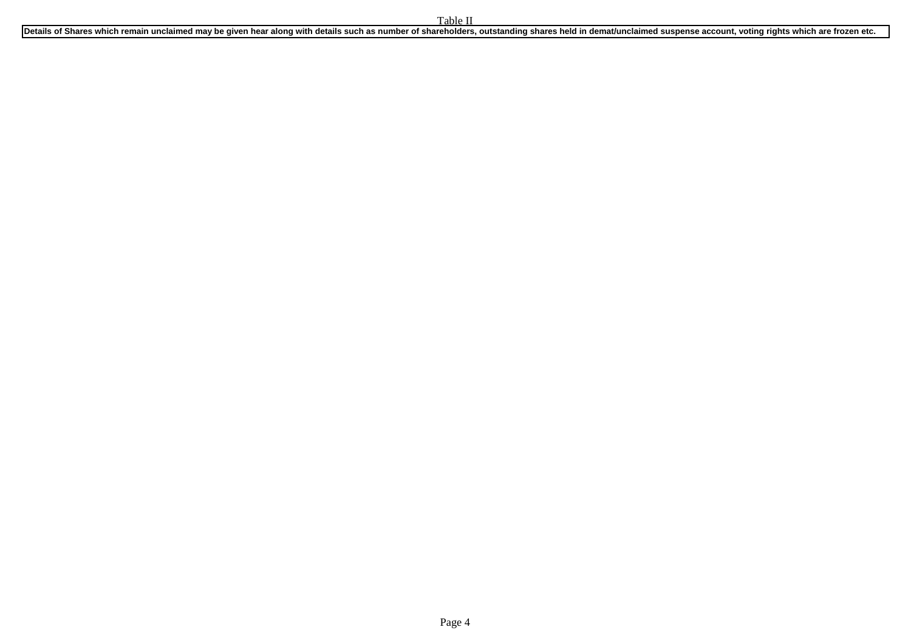Details of Shares which remain unclaimed may be given hear along with details such as number of shareholders, outstanding shares held in demat/unclaimed suspense account, voting rights which are frozen etc.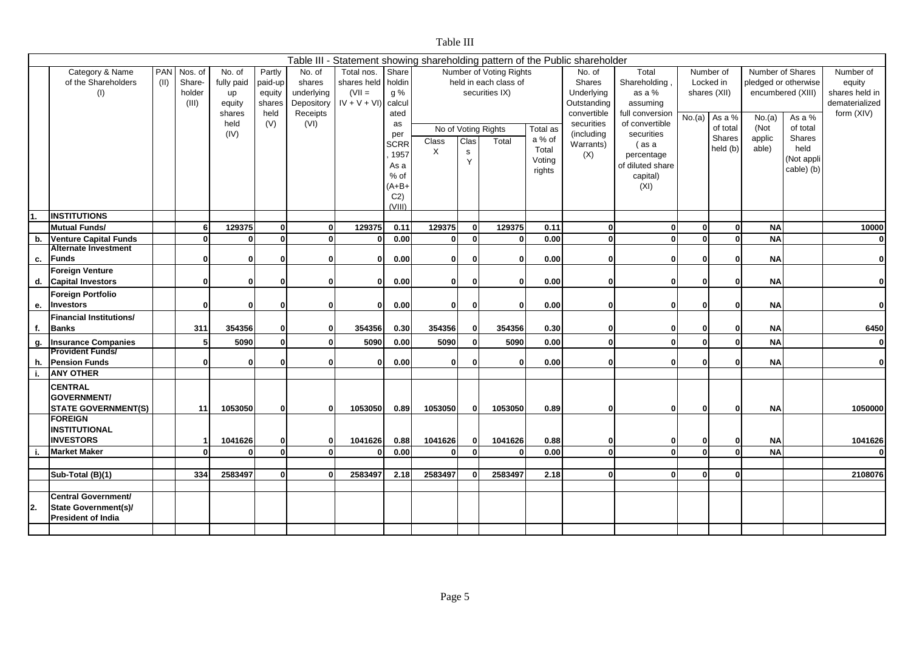|                                                                              |                                             |        | Table III                 |          |             |      |  |  |  |  |  |  |  |  |
|------------------------------------------------------------------------------|---------------------------------------------|--------|---------------------------|----------|-------------|------|--|--|--|--|--|--|--|--|
| Table III - Statement showing shareholding pattern of the Public shareholder |                                             |        |                           |          |             |      |  |  |  |  |  |  |  |  |
| No. of                                                                       | Total nos.                                  | Share  | Number of Voting Rights   |          | No. of      |      |  |  |  |  |  |  |  |  |
| shares                                                                       | shares held holdin<br>held in each class of |        |                           |          |             |      |  |  |  |  |  |  |  |  |
| underlying                                                                   | $(VII =$                                    |        | Underlying                |          |             |      |  |  |  |  |  |  |  |  |
| Depository                                                                   | $IV + V + VI$                               | calcul |                           |          | Outstanding | ź    |  |  |  |  |  |  |  |  |
| Receipts                                                                     |                                             | ated   |                           |          | convertible | full |  |  |  |  |  |  |  |  |
| (VI)                                                                         |                                             | as     |                           |          | securities  | of   |  |  |  |  |  |  |  |  |
|                                                                              |                                             | per    | No of Voting Rights       | Total as | (including  |      |  |  |  |  |  |  |  |  |
|                                                                              |                                             |        | $\sim$<br>アーティー<br>$\sim$ | $2\%$ of |             |      |  |  |  |  |  |  |  |  |

| Category & Name<br>of the Shareholders<br>(1) |                                                          | (11) | PAN Nos. of<br>Share-<br>holder<br>(III) | No. of<br>fully paid<br>up<br>equity | Partly<br>paid-up<br>equity<br>shares | No. of<br>shares<br>underlying | Total nos.<br>shares held holdin<br>$(VII =$<br>Depository $ V + V + V $ | Share<br>g %<br>calcul                           |                   |                     | Number of Voting Rights<br>held in each class of<br>securities IX) |                                    | No. of<br>Shares<br>Underlying<br>Outstanding        | Total<br>Shareholding<br>as a %<br>assuming              | Number of<br>Locked in<br>shares (XII) |                                          | Number of Shares<br>pledged or otherwise<br>encumbered (XIII) |                                      | Number of<br>equity<br>shares held in<br>dematerialized<br>form (XIV) |
|-----------------------------------------------|----------------------------------------------------------|------|------------------------------------------|--------------------------------------|---------------------------------------|--------------------------------|--------------------------------------------------------------------------|--------------------------------------------------|-------------------|---------------------|--------------------------------------------------------------------|------------------------------------|------------------------------------------------------|----------------------------------------------------------|----------------------------------------|------------------------------------------|---------------------------------------------------------------|--------------------------------------|-----------------------------------------------------------------------|
|                                               |                                                          |      |                                          | shares<br>held<br>(IV)               | held<br>(V)                           | Receipts<br>(VI)               |                                                                          | ated<br>as<br>per<br><b>SCRR</b>                 | Class<br>$\times$ | Clas<br>$\mathbf s$ | No of Voting Rights<br>Total                                       | <b>Total</b> as<br>a % of<br>Total | convertible<br>securities<br>(including<br>Warrants) | full conversion<br>of convertible<br>securities<br>(as a | $\overline{No}.(a)$                    | As a %<br>of total<br>Shares<br>held (b) | No.(a)<br>(Not<br>applic<br>able)                             | As a %<br>of total<br>Shares<br>held |                                                                       |
|                                               |                                                          |      |                                          |                                      |                                       |                                |                                                                          | 1957<br>As a<br>% of<br>$(A+B+$<br>C2)<br>(VIII) |                   | Y                   |                                                                    | Voting<br>rights                   | (X)                                                  | percentage<br>of diluted share<br>capital)<br>(XI)       |                                        |                                          |                                                               | (Not appli<br>cable) (b)             |                                                                       |
| 1.                                            | <b>INSTITUTIONS</b>                                      |      |                                          |                                      |                                       |                                |                                                                          |                                                  |                   |                     |                                                                    |                                    |                                                      |                                                          |                                        |                                          |                                                               |                                      |                                                                       |
|                                               | <b>Mutual Funds/</b>                                     |      | 6                                        | 129375                               | 0                                     | $\mathbf{0}$                   | 129375                                                                   | 0.11                                             | 129375            | $\Omega$            | 129375                                                             | 0.11                               | $\mathbf{0}$                                         | $\mathbf{0}$                                             | U                                      | $\mathbf{0}$                             | <b>NA</b>                                                     |                                      | 10000                                                                 |
| b.                                            | <b>Venture Capital Funds</b>                             |      | $\mathbf{0}$                             | $\Omega$                             | <sub>0</sub>                          | $\mathbf{0}$                   | $\mathbf{0}$                                                             | 0.00                                             | 0                 | $\Omega$            | $\Omega$                                                           | 0.00                               | $\Omega$                                             | $\Omega$                                                 | U                                      | $\Omega$                                 | <b>NA</b>                                                     |                                      | $\mathbf{0}$                                                          |
| с.                                            | <b>Alternate Investment</b><br><b>Funds</b>              |      | $\mathbf{0}$                             | $\mathbf{0}$                         | 0                                     | $\mathbf{0}$                   | $\mathbf{0}$                                                             | 0.00                                             | $\mathbf{0}$      | n                   | $\Omega$                                                           | 0.00                               | $\Omega$                                             | $\mathbf{0}$                                             | 0                                      | $\Omega$                                 | <b>NA</b>                                                     |                                      | $\mathbf{0}$                                                          |
|                                               | <b>Foreign Venture</b><br>d. Capital Investors           |      | $\Omega$                                 | $\Omega$                             | Û                                     | $\mathbf{0}$                   | $\mathbf{0}$                                                             | 0.00                                             | $\mathbf{0}$      | $\Omega$            | $\Omega$                                                           | 0.00                               | O                                                    | $\bf{0}$                                                 | ŋ                                      | $\mathbf{0}$                             | <b>NA</b>                                                     |                                      | $\mathbf 0$                                                           |
|                                               | <b>Foreign Portfolio</b>                                 |      |                                          |                                      |                                       |                                |                                                                          |                                                  |                   |                     |                                                                    |                                    |                                                      |                                                          |                                        |                                          |                                                               |                                      |                                                                       |
| е.                                            | <b>Investors</b>                                         |      | 0                                        | $\mathbf{0}$                         | 0                                     | $\mathbf{0}$                   | 0                                                                        | 0.00                                             | 0                 | $\mathbf{0}$        | $\mathbf{0}$                                                       | 0.00                               | $\Omega$                                             | $\bf{0}$                                                 | O                                      | $\mathbf{0}$                             | <b>NA</b>                                                     |                                      | $\mathbf{0}$                                                          |
|                                               | <b>Financial Institutions/</b>                           |      |                                          |                                      |                                       |                                |                                                                          |                                                  |                   |                     |                                                                    |                                    |                                                      |                                                          |                                        |                                          |                                                               |                                      |                                                                       |
| f.                                            | <b>Banks</b>                                             |      | 311                                      | 354356                               | n                                     | $\mathbf{0}$                   | 354356                                                                   | 0.30                                             | 354356            |                     | 354356                                                             | 0.30                               | O                                                    | $\mathbf 0$                                              |                                        | $\Omega$                                 | <b>NA</b>                                                     |                                      | 6450                                                                  |
| g.                                            | <b>Insurance Companies</b>                               |      | 5                                        | 5090                                 | 0                                     | $\mathbf{0}$                   | 5090                                                                     | 0.00                                             | 5090              | $\mathbf{0}$        | 5090                                                               | 0.00                               | $\bf{0}$                                             | $\mathbf{0}$                                             | U                                      |                                          | <b>NA</b>                                                     |                                      | $\mathbf{0}$                                                          |
|                                               | <b>Provident Funds/</b>                                  |      |                                          |                                      |                                       |                                |                                                                          |                                                  |                   |                     |                                                                    |                                    |                                                      |                                                          |                                        |                                          |                                                               |                                      |                                                                       |
| h.                                            | <b>Pension Funds</b>                                     |      | $\Omega$                                 | $\Omega$                             | 0                                     | $\mathbf{0}$                   | 0                                                                        | 0.00                                             | 0                 |                     | n                                                                  | 0.00                               | O                                                    | $\bf{0}$                                                 |                                        | $\Omega$                                 | <b>NA</b>                                                     |                                      | $\mathbf{0}$                                                          |
| i.                                            | <b>ANY OTHER</b>                                         |      |                                          |                                      |                                       |                                |                                                                          |                                                  |                   |                     |                                                                    |                                    |                                                      |                                                          |                                        |                                          |                                                               |                                      |                                                                       |
|                                               | <b>CENTRAL</b><br><b>GOVERNMENT/</b>                     |      |                                          |                                      |                                       |                                |                                                                          |                                                  |                   |                     |                                                                    |                                    |                                                      |                                                          |                                        |                                          |                                                               |                                      |                                                                       |
|                                               | <b>STATE GOVERNMENT(S)</b>                               |      | 11                                       | 1053050                              | 0                                     | $\mathbf{0}$                   | 1053050                                                                  | 0.89                                             | 1053050           | $\mathbf{0}$        | 1053050                                                            | 0.89                               | $\Omega$                                             | $\bf{0}$                                                 | O                                      | $\mathbf{0}$                             | <b>NA</b>                                                     |                                      | 1050000                                                               |
|                                               | <b>FOREIGN</b>                                           |      |                                          |                                      |                                       |                                |                                                                          |                                                  |                   |                     |                                                                    |                                    |                                                      |                                                          |                                        |                                          |                                                               |                                      |                                                                       |
|                                               | <b>INSTITUTIONAL</b>                                     |      |                                          |                                      |                                       |                                |                                                                          |                                                  |                   |                     |                                                                    |                                    |                                                      |                                                          |                                        |                                          |                                                               |                                      |                                                                       |
|                                               | <b>INVESTORS</b>                                         |      |                                          | 1041626                              | 0                                     | $\mathbf{0}$                   | 1041626                                                                  | 0.88                                             | 1041626           | $\mathbf{0}$        | 1041626                                                            | 0.88                               | 0                                                    | 0                                                        | o                                      | $\mathbf{0}$                             | <b>NA</b>                                                     |                                      | 1041626                                                               |
|                                               | <b>Market Maker</b>                                      |      | $\mathbf{0}$                             | $\Omega$                             | $\mathbf{0}$                          | $\mathbf{0}$                   | 0                                                                        | 0.00                                             | 0                 | $\Omega$            | $\Omega$                                                           | 0.00                               | $\Omega$                                             | $\Omega$                                                 | <sub>0</sub>                           | $\Omega$                                 | <b>NA</b>                                                     |                                      | $\mathbf{0}$                                                          |
|                                               |                                                          |      |                                          |                                      |                                       |                                |                                                                          |                                                  |                   |                     |                                                                    |                                    |                                                      |                                                          |                                        |                                          |                                                               |                                      |                                                                       |
|                                               | Sub-Total (B)(1)                                         |      | 334                                      | 2583497                              | 0                                     | $\Omega$                       | 2583497                                                                  | 2.18                                             | 2583497           |                     | 2583497                                                            | 2.18                               | $\Omega$                                             | $\mathbf{0}$                                             | <b>n</b>                               | $\Omega$                                 |                                                               |                                      | 2108076                                                               |
|                                               | <b>Central Government/</b>                               |      |                                          |                                      |                                       |                                |                                                                          |                                                  |                   |                     |                                                                    |                                    |                                                      |                                                          |                                        |                                          |                                                               |                                      |                                                                       |
| 2.                                            | <b>State Government(s)/</b><br><b>President of India</b> |      |                                          |                                      |                                       |                                |                                                                          |                                                  |                   |                     |                                                                    |                                    |                                                      |                                                          |                                        |                                          |                                                               |                                      |                                                                       |
|                                               |                                                          |      |                                          |                                      |                                       |                                |                                                                          |                                                  |                   |                     |                                                                    |                                    |                                                      |                                                          |                                        |                                          |                                                               |                                      |                                                                       |